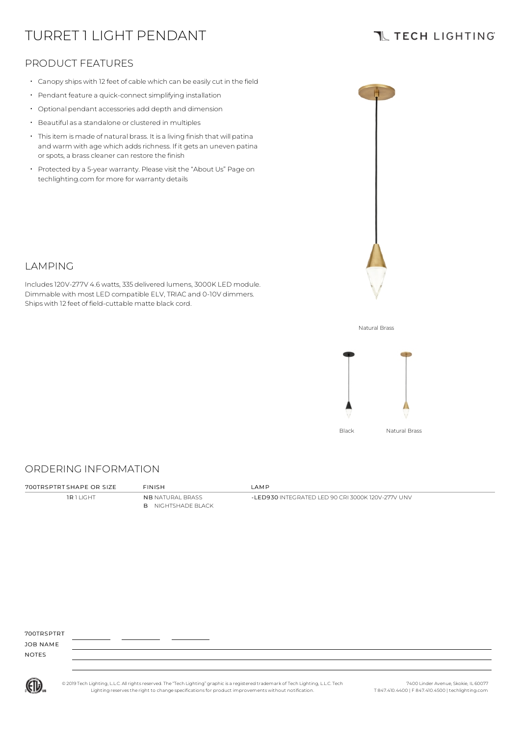# TURRET 1 LIGHT PENDANT

## **TL TECH LIGHTING**

### PRODUCT FEATURES

- Canopy ships with 12 feet of cable which can be easily cut in the field
- Pendant feature a quick-connect simplifying installation
- Optional pendant accessories add depth and dimension
- Beautiful as a standalone or clustered in multiples
- Thisitem is made of natural brass. It is a living finish that will patina and warm with age which adds richness. If it gets an uneven patina or spots, a brass cleaner can restore the finish
- Protected by a 5-year warranty. Please visit the "About Us" Page on techlighting.com for more for warranty details

Includes120V-277V 4.6 watts, 335 delivered lumens, 3000K LED module. Dimmable with most LED compatible ELV, TRIAC and 0-10V dimmers.

Ships with 12 feet of field-cuttable matte black cord.



### Natural Brass



#### ORDERING INFORMATION

LAMPING

**1R 1 LIGHT NB NATURAL BRASS** B NIGHTSHADE BLACK

700TRSPTRT SHAPE OR SIZE FINISH LAMP

-LED930 INTEGRATED LED 90 CRI 3000K 120V-277V UNV

700TDSDTDT

JOB NAME NOTES



© 2019 Tech Lighting, L.L.C. All rightsreserved. The "Tech Lighting" graphicis a registered trademark of Tech Lighting, L.L.C. Tech Lighting reservesthe right to change specificationsfor product improvements without notification.

7400 Linder Avenue, Skokie, IL 60077 T 847.410.4400 | F 847.410.4500 | techlighting.com